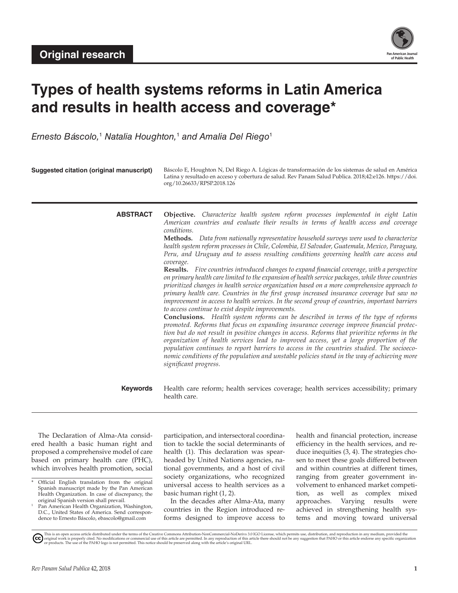

# **Types of health systems reforms in Latin America and results in health access and coverage\***

*Ernesto Báscolo,*<sup>1</sup>  *Natalia Houghton,*<sup>1</sup>  *and Amalia Del Riego*<sup>1</sup>

| Suggested citation (original manuscript) | Báscolo E, Houghton N, Del Riego A. Lógicas de transformación de los sistemas de salud en América<br>Latina y resultado en acceso y cobertura de salud. Rev Panam Salud Publica. 2018;42:e126. https://doi.<br>org/10.26633/RPSP.2018.126                                                                                                                                                                                                                                                                                                                                                                                                                                                                                                                                                                                                                                                                                                                                                                                                                                                                                                                                                                                                                                                                                                                                                                                                                                                                                                                                                                                                                        |
|------------------------------------------|------------------------------------------------------------------------------------------------------------------------------------------------------------------------------------------------------------------------------------------------------------------------------------------------------------------------------------------------------------------------------------------------------------------------------------------------------------------------------------------------------------------------------------------------------------------------------------------------------------------------------------------------------------------------------------------------------------------------------------------------------------------------------------------------------------------------------------------------------------------------------------------------------------------------------------------------------------------------------------------------------------------------------------------------------------------------------------------------------------------------------------------------------------------------------------------------------------------------------------------------------------------------------------------------------------------------------------------------------------------------------------------------------------------------------------------------------------------------------------------------------------------------------------------------------------------------------------------------------------------------------------------------------------------|
| <b>ABSTRACT</b>                          | <b>Objective.</b> Characterize health system reform processes implemented in eight Latin<br>American countries and evaluate their results in terms of health access and coverage<br>conditions.<br>Methods. Data from nationally representative household surveys were used to characterize<br>health system reform processes in Chile, Colombia, El Salvador, Guatemala, Mexico, Paraguay,<br>Peru, and Uruguay and to assess resulting conditions governing health care access and<br>coverage.<br>Results. Five countries introduced changes to expand financial coverage, with a perspective<br>on primary health care limited to the expansion of health service packages, while three countries<br>prioritized changes in health service organization based on a more comprehensive approach to<br>primary health care. Countries in the first group increased insurance coverage but saw no<br>improvement in access to health services. In the second group of countries, important barriers<br>to access continue to exist despite improvements.<br><b>Conclusions.</b> Health system reforms can be described in terms of the type of reforms<br>promoted. Reforms that focus on expanding insurance coverage improve financial protec-<br>tion but do not result in positive changes in access. Reforms that prioritize reforms in the<br>organization of health services lead to improved access, yet a large proportion of the<br>population continues to report barriers to access in the countries studied. The socioeco-<br>nomic conditions of the population and unstable policies stand in the way of achieving more<br>significant progress. |
| <b>Keywords</b>                          | Health care reform; health services coverage; health services accessibility; primary<br>health care.                                                                                                                                                                                                                                                                                                                                                                                                                                                                                                                                                                                                                                                                                                                                                                                                                                                                                                                                                                                                                                                                                                                                                                                                                                                                                                                                                                                                                                                                                                                                                             |

The Declaration of Alma-Ata considered health a basic human right and proposed a comprehensive model of care based on primary health care (PHC), which involves health promotion, social

participation, and intersectoral coordination to tackle the social determinants of health (1). This declaration was spearheaded by United Nations agencies, national governments, and a host of civil society organizations, who recognized universal access to health services as a basic human right (1, 2).

In the decades after Alma-Ata, many countries in the Region introduced reforms designed to improve access to health and financial protection, increase efficiency in the health services, and reduce inequities (3, 4). The strategies chosen to meet these goals differed between and within countries at different times, ranging from greater government involvement to enhanced market competition, as well as complex mixed approaches. Varying results were achieved in strengthening health systems and moving toward universal

Official English translation from the original Spanish manuscript made by the Pan American Health Organization. In case of discrepancy, the original Spanish version shall prevail.

Pan American Health Organization, Washington, D.C., United States of America. Send correspondence to Ernesto Báscolo, [ebascolo@gmail.com](mailto:ebascolo@gmail.com)

This is an open access article distributed under the terms of the Creative Commons Attribution-NonCommercial-NoDerivs 3.0 IGO License, which permits use, distribution, and reproduction in any medium, provided the<br>orignal w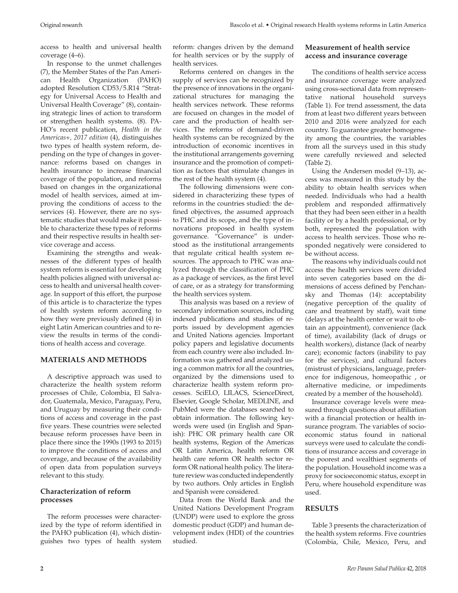access to health and universal health coverage (4–6).

In response to the unmet challenges (7), the Member States of the Pan American Health Organization (PAHO) adopted Resolution CD53/5.R14 "Strategy for Universal Access to Health and Universal Health Coverage" (8), containing strategic lines of action to transform or strengthen health systems. (8). PA-HO's recent publication, *Health in the Americas+, 2017 edition* (4), distinguishes two types of health system reform, depending on the type of changes in governance: reforms based on changes in health insurance to increase financial coverage of the population, and reforms based on changes in the organizational model of health services, aimed at improving the conditions of access to the services (4). However, there are no systematic studies that would make it possible to characterize these types of reforms and their respective results in health service coverage and access.

Examining the strengths and weaknesses of the different types of health system reform is essential for developing health policies aligned with universal access to health and universal health coverage. In support of this effort, the purpose of this article is to characterize the types of health system reform according to how they were previously defined (4) in eight Latin American countries and to review the results in terms of the conditions of health access and coverage.

#### **MATERIALS AND METHODS**

A descriptive approach was used to characterize the health system reform processes of Chile, Colombia, El Salvador, Guatemala, Mexico, Paraguay, Peru, and Uruguay by measuring their conditions of access and coverage in the past five years. These countries were selected because reform processes have been in place there since the 1990s (1993 to 2015) to improve the conditions of access and coverage, and because of the availability of open data from population surveys relevant to this study.

#### **Characterization of reform processes**

The reform processes were characterized by the type of reform identified in the PAHO publication (4), which distinguishes two types of health system

reform: changes driven by the demand for health services or by the supply of health services.

Reforms centered on changes in the supply of services can be recognized by the presence of innovations in the organizational structures for managing the health services network. These reforms are focused on changes in the model of care and the production of health services. The reforms of demand-driven health systems can be recognized by the introduction of economic incentives in the institutional arrangements governing insurance and the promotion of competition as factors that stimulate changes in the rest of the health system (4).

The following dimensions were considered in characterizing these types of reforms in the countries studied: the defined objectives, the assumed approach to PHC and its scope, and the type of innovations proposed in health system governance. "Governance" is understood as the institutional arrangements that regulate critical health system resources. The approach to PHC was analyzed through the classification of PHC as a package of services, as the first level of care, or as a strategy for transforming the health services system.

This analysis was based on a review of secondary information sources, including indexed publications and studies of reports issued by development agencies and United Nations agencies. Important policy papers and legislative documents from each country were also included. Information was gathered and analyzed using a common matrix for all the countries, organized by the dimensions used to characterize health system reform processes. SciELO, LILACS, ScienceDirect, Elsevier, Google Scholar, MEDLINE, and PubMed were the databases searched to obtain information. The following keywords were used (in English and Spanish): PHC OR primary health care OR health systems, Region of the Americas OR Latin America, health reform OR health care reform OR health sector reform OR national health policy. The literature review was conducted independently by two authors. Only articles in English and Spanish were considered.

Data from the World Bank and the United Nations Development Program (UNDP) were used to explore the gross domestic product (GDP) and human development index (HDI) of the countries studied.

### **Measurement of health service access and insurance coverage**

The conditions of health service access and insurance coverage were analyzed using cross-sectional data from representative national household surveys (Table 1). For trend assessment, the data from at least two different years between 2010 and 2016 were analyzed for each country. To guarantee greater homogeneity among the countries, the variables from all the surveys used in this study were carefully reviewed and selected (Table 2).

Using the Andersen model (9–13), access was measured in this study by the ability to obtain health services when needed. Individuals who had a health problem and responded affirmatively that they had been seen either in a health facility or by a health professional, or by both, represented the population with access to health services. Those who responded negatively were considered to be without access.

The reasons why individuals could not access the health services were divided into seven categories based on the dimensions of access defined by Penchansky and Thomas (14): acceptability (negative perception of the quality of care and treatment by staff), wait time (delays at the health center or wait to obtain an appointment), convenience (lack of time), availability (lack of drugs or health workers), distance (lack of nearby care); economic factors (inability to pay for the services), and cultural factors (mistrust of physicians, language, preference for indigenous, homeopathic , or alternative medicine, or impediments created by a member of the household).

Insurance coverage levels were measured through questions about affiliation with a financial protection or health insurance program. The variables of socioeconomic status found in national surveys were used to calculate the conditions of insurance access and coverage in the poorest and wealthiest segments of the population. Household income was a proxy for socioeconomic status, except in Peru, where household expenditure was used.

## **RESULTS**

Table 3 presents the characterization of the health system reforms. Five countries (Colombia, Chile, Mexico, Peru, and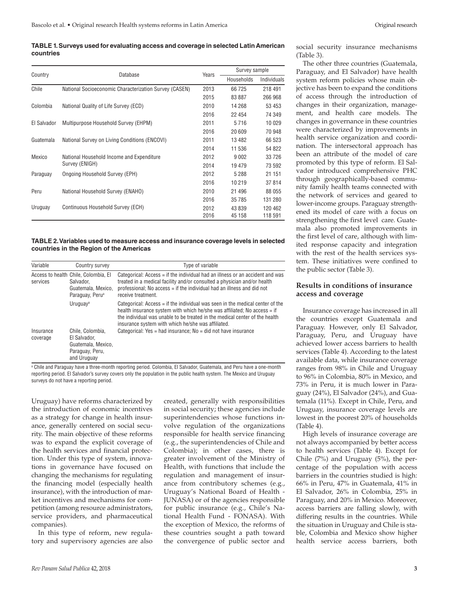**TABLE 1. Surveys used for evaluating access and coverage in selected Latin American countries**

|             |                                                        |       | Survey sample |             |  |  |
|-------------|--------------------------------------------------------|-------|---------------|-------------|--|--|
| Country     | Database                                               | Years | Households    | Individuals |  |  |
| Chile       | National Socioeconomic Characterization Survey (CASEN) | 2013  | 66 725        | 218 491     |  |  |
|             |                                                        | 2015  | 83 887        | 266 968     |  |  |
| Colombia    | National Quality of Life Survey (ECD)                  | 2010  | 14 268        | 53 453      |  |  |
|             |                                                        | 2016  | 22 4 54       | 74 349      |  |  |
| El Salvador | Multipurpose Household Survey (EHPM)                   | 2011  | 5716          | 10 0 29     |  |  |
|             |                                                        | 2016  | 20 609        | 70 948      |  |  |
| Guatemala   | National Survey on Living Conditions (ENCOVI)          | 2011  | 13 482        | 66 523      |  |  |
|             |                                                        | 2014  | 11 536        | 54 822      |  |  |
| Mexico      | National Household Income and Expenditure              | 2012  | 9 0 0 2       | 33726       |  |  |
|             | Survey (ENIGH)                                         | 2014  | 19 479        | 73 592      |  |  |
| Paraguay    | Ongoing Household Survey (EPH)                         | 2012  | 5 2 8 8       | 21 151      |  |  |
|             |                                                        | 2016  | 10 219        | 37814       |  |  |
| Peru        | National Household Survey (ENAHO)                      | 2010  | 21 496        | 88 055      |  |  |
|             |                                                        | 2016  | 35 785        | 131 280     |  |  |
| Uruguay     | Continuous Household Survey (ECH)                      | 2012  | 43 839        | 120 462     |  |  |
|             |                                                        | 2016  | 45 158        | 118 591     |  |  |

**TABLE 2. Variables used to measure access and insurance coverage levels in selected countries in the Region of the Americas**

| Variable              | Country survey                                                                                         | Type of variable                                                                                                                                                                                                                                                                               |
|-----------------------|--------------------------------------------------------------------------------------------------------|------------------------------------------------------------------------------------------------------------------------------------------------------------------------------------------------------------------------------------------------------------------------------------------------|
| services              | Access to health Chile, Colombia, El<br>Salvador.<br>Guatemala, Mexico,<br>Paraguay, Peru <sup>a</sup> | Categorical: Access = if the individual had an illness or an accident and was<br>treated in a medical facility and/or consulted a physician and/or health<br>professional; No access = if the individual had an illness and did not<br>receive treatment.                                      |
|                       | Uruguay <sup>a</sup>                                                                                   | Categorical: Access = if the individual was seen in the medical center of the<br>health insurance system with which he/she was affiliated; No access = if<br>the individual was unable to be treated in the medical center of the health<br>insurance system with which he/she was affiliated. |
| Insurance<br>coverage | Chile. Colombia.<br>El Salvador.<br>Guatemala, Mexico.<br>Paraguay, Peru,<br>and Uruguay               | Categorical: Yes = had insurance: $No = did not have insurance$                                                                                                                                                                                                                                |

a Chile and Paraguay have a three-month reporting period. Colombia, El Salvador, Guatemala, and Peru have a one-month reporting period. El Salvador's survey covers only the population in the public health system. The Mexico and Uruguay surveys do not have a reporting period.

Uruguay) have reforms characterized by the introduction of economic incentives as a strategy for change in health insurance, generally centered on social security. The main objective of these reforms was to expand the explicit coverage of the health services and financial protection. Under this type of system, innovations in governance have focused on changing the mechanisms for regulating the financing model (especially health insurance), with the introduction of market incentives and mechanisms for competition (among resource administrators, service providers, and pharmaceutical companies).

In this type of reform, new regulatory and supervisory agencies are also created, generally with responsibilities in social security; these agencies include superintendencies whose functions involve regulation of the organizations responsible for health service financing (e.g., the superintendencies of Chile and Colombia); in other cases, there is greater involvement of the Ministry of Health, with functions that include the regulation and management of insurance from contributory schemes (e.g., Uruguay's National Board of Health - JUNASA) or of the agencies responsible for public insurance (e.g., Chile's National Health Fund - FONASA). With the exception of Mexico, the reforms of these countries sought a path toward the convergence of public sector and

social security insurance mechanisms (Table 3).

The other three countries (Guatemala, Paraguay, and El Salvador) have health system reform policies whose main objective has been to expand the conditions of access through the introduction of changes in their organization, management, and health care models. The changes in governance in these countries were characterized by improvements in health service organization and coordination. The intersectoral approach has been an attribute of the model of care promoted by this type of reform. El Salvador introduced comprehensive PHC through geographically-based community family health teams connected with the network of services and geared to lower-income groups. Paraguay strengthened its model of care with a focus on strengthening the first level care. Guatemala also promoted improvements in the first level of care, although with limited response capacity and integration with the rest of the health services system. These initiatives were confined to the public sector (Table 3).

#### **Results in conditions of insurance access and coverage**

Insurance coverage has increased in all the countries except Guatemala and Paraguay. However, only El Salvador, Paraguay, Peru, and Uruguay have achieved lower access barriers to health services (Table 4). According to the latest available data, while insurance coverage ranges from 98% in Chile and Uruguay to 96% in Colombia, 80% in Mexico, and 73% in Peru, it is much lower in Paraguay (24%), El Salvador (24%), and Guatemala (11%). Except in Chile, Peru, and Uruguay, insurance coverage levels are lowest in the poorest 20% of households (Table 4).

High levels of insurance coverage are not always accompanied by better access to health services (Table 4). Except for Chile (7%) and Uruguay (5%), the percentage of the population with access barriers in the countries studied is high: 66% in Peru, 47% in Guatemala, 41% in El Salvador, 26% in Colombia, 25% in Paraguay, and 20% in Mexico. Moreover, access barriers are falling slowly, with differing results in the countries. While the situation in Uruguay and Chile is stable, Colombia and Mexico show higher health service access barriers, both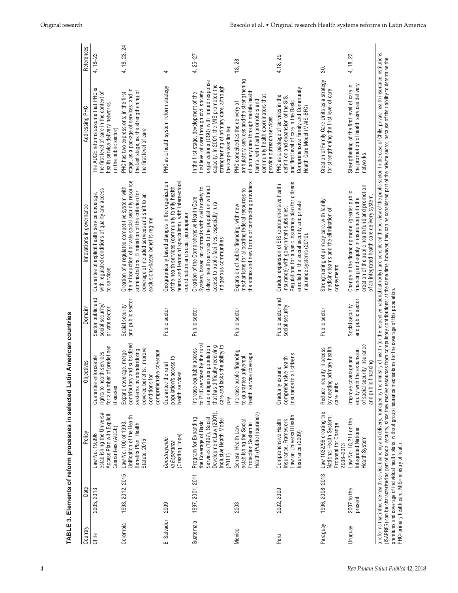| 2005, 2013<br>Chile               | Date             | Policy                                                                                                                                  | Objectives                                                                                                                                                      | Domain <sup>a</sup>                                    | Innovations in governance                                                                                                                                                                                                                        | Addressing PHC                                                                                                                                                                                                                                  | References    |
|-----------------------------------|------------------|-----------------------------------------------------------------------------------------------------------------------------------------|-----------------------------------------------------------------------------------------------------------------------------------------------------------------|--------------------------------------------------------|--------------------------------------------------------------------------------------------------------------------------------------------------------------------------------------------------------------------------------------------------|-------------------------------------------------------------------------------------------------------------------------------------------------------------------------------------------------------------------------------------------------|---------------|
|                                   |                  | establishing the Universal<br>Access Plan with Explicit<br>Guarantees (AUGE)<br>Law No. 19,996                                          | for a number of predefined<br>rights to health services<br>Guarantee enforceable<br>diseases                                                                    | Sector public and<br>social security<br>private sector | with regulated conditions of quality and access<br>Guarantee of explicit health service coverage,<br>to services                                                                                                                                 | The AUGE reforms assume that PHC is<br>the first level of care in the context of<br>health service delivery networks<br>(in the public sector)                                                                                                  | $4, 18 - 23$  |
| Colombia                          | 1993, 2012, 2015 | Unification of the Health<br>Law No. 100 of 1993.<br>Benefits Plan, Health<br>Statute, 2015                                             | contributory and subsidized<br>covered benefits; improve<br>systems by standardizing<br>comprehensive coverage<br>Expand coverage, merge<br>conditions for      | and public sector<br>Social security                   | the introduction of private social security resource<br>Creation of a regulated competitive system with<br>administrators. Elimination of the criterion for<br>coverage of included services and shift to an<br>exclusions-based benefits regime | stage, as a package of services; and in<br>the last stage, as the strengthening of<br>PHC has two expressions: in the first<br>the first level of care                                                                                          | 4, 18, 23, 24 |
| 2009<br>El Salvador               |                  | (Creating Hope)<br>Construyendo<br>la Esperanza                                                                                         | s access to<br>Guarantee the rural<br>health services<br>population'                                                                                            | Public sector                                          | Geographically-based changes in the organization<br>teams and teams of specialists), with intersectoral<br>of the health services (community family health<br>coordination and social participation                                              | PHC as a health system reform strategy                                                                                                                                                                                                          | 4             |
| Guatemala                         | 1997, 2001, 2011 | Development Law (2001)<br>Program for Expanding<br>Services (1997), Social<br>Inclusive Health Model<br>the Coverage of Basic<br>(2011) | to PHC services by the rural<br>care and lacks the ability to<br>that has difficulty receiving<br>and indigenous population<br>Increase equitable access<br>pay | Public sector                                          | deliver health services to the population without<br>System, based on contracts with civil society to<br>Creation of the Comprehensive Health Care<br>access to public facilities, especially rural<br>indigenous communities                    | organizations (CSO) with limited response<br>capacity. In 2001, the MIS promoted the<br>strengthening of primary care, although<br>first level of care through civil society<br>In the first stage, development of the<br>the scope was limited | $4, 25 - 27$  |
| 2003<br>Mexico                    |                  | Health (Public Insurance)<br>establishing the Social<br>Protection System in<br>General Health Law                                      | Increase public financing<br>health service coverage<br>to guarantee universal                                                                                  | Public sector                                          | the states and new forms of contracting providers<br>mechanisms for allocating federal resources to<br>Expansion of public financing, with new                                                                                                   | ambulatory services and the strengthening<br>of primary care through mobile health<br>community health coordinators that<br>teams, with health promoters and<br>PHC conceived as the delivery of<br>provide outreach services                   | 18,28         |
| 2002, 2009<br>Peru                |                  | Law on Universal Health<br>Comprehensive Health<br>Insurance, Framework<br>Insurance (2009)                                             | insurance to all citizens<br>comprehensive health<br>Gradually expand                                                                                           | Public sector and<br>social security                   | Regulations for a basic insurance plan for citizens<br>Gradual expansion of SIS (comprehensive health<br>enrolled in the social security and private<br>insurance) with government subsidies<br>insurance systems (2010).                        | Comprehensive Family and Community<br>PHC as a package of services in the<br>definition and expansion of the SIS,<br>and first level of care in the Basic<br>Health Care Model (MAIS-BFC)                                                       | 4.18,29       |
| Paraguay                          | 1996, 2008-2013  | Law 1032/96 creating the<br>National Health System;<br>Proposal for Change<br>2008-2013                                                 | Reduce inequity in access<br>by creating primary health<br>care units                                                                                           | Public sector                                          | Strengthening of primary care, with family<br>medicine teams and the elimination of<br>copayments                                                                                                                                                | Creation of Family Care Units as a strategy<br>for strengthening the first level of care                                                                                                                                                        | 30.           |
| 2007 to the<br>present<br>Uruguay |                  | Law No. 18,211 on the<br>Integrated National<br>Health System                                                                           | of social security insurance<br>the expansion<br>Improve coverage and<br>and public financing<br>equity with                                                    | and public sector<br>Social security                   | creation of the public health fund and promotion<br>Change in the financing model (greater public<br>of an integrated health care delivery system.<br>financing and equity in insurance) with the                                                | the promotion of health services delivery<br>Strengthening of the first level of care in<br>networks                                                                                                                                            | 4, 18, 23     |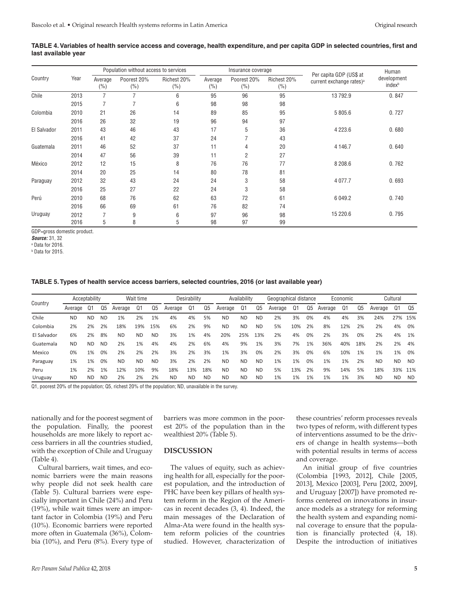|             |      |                   | Population without access to services |                    | Per capita GDP (US\$ at | Human                 |                    |                                      |                                   |
|-------------|------|-------------------|---------------------------------------|--------------------|-------------------------|-----------------------|--------------------|--------------------------------------|-----------------------------------|
| Country     | Year | Average<br>$(\%)$ | Poorest 20%<br>(%)                    | Richest 20%<br>(%) | Average<br>$(\%)$       | Poorest 20%<br>$(\%)$ | Richest 20%<br>(%) | current exchange rates) <sup>a</sup> | development<br>index <sup>b</sup> |
| Chile       | 2013 | 7                 |                                       | 6                  | 95                      | 96                    | 95                 | 13 792.9                             | 0.847                             |
|             | 2015 |                   |                                       | 6                  | 98                      | 98                    | 98                 |                                      |                                   |
| Colombia    | 2010 | 21                | 26                                    | 14                 | 89                      | 85                    | 95                 | 5 805.6                              | 0.727                             |
|             | 2016 | 26                | 32                                    | 19                 | 96                      | 94                    | 97                 |                                      |                                   |
| El Salvador | 2011 | 43                | 46                                    | 43                 | 17                      | 5                     | 36                 | 4 2 2 3.6                            | 0.680                             |
|             | 2016 | 41                | 42                                    | 37                 | 24                      |                       | 43                 |                                      |                                   |
| Guatemala   | 2011 | 46                | 52                                    | 37                 | 11                      | 4                     | 20                 | 4 146.7                              | 0.640                             |
|             | 2014 | 47                | 56                                    | 39                 | 11                      | 2                     | 27                 |                                      |                                   |
| México      | 2012 | 12                | 15                                    | 8                  | 76                      | 76                    | 77                 | 8 208.6                              | 0.762                             |
|             | 2014 | 20                | 25                                    | 14                 | 80                      | 78                    | 81                 |                                      |                                   |
| Paraguay    | 2012 | 32                | 43                                    | 24                 | 24                      | 3                     | 58                 | 4 0 7 7.7                            | 0.693                             |
|             | 2016 | 25                | 27                                    | 22                 | 24                      | 3                     | 58                 |                                      |                                   |
| Perú        | 2010 | 68                | 76                                    | 62                 | 63                      | 72                    | 61                 | 6 049.2                              | 0.740                             |
|             | 2016 | 66                | 69                                    | 61                 | 76                      | 82                    | 74                 |                                      |                                   |
| Uruguay     | 2012 |                   | 9                                     | 6                  | 97                      | 96                    | 98                 | 15 220.6                             | 0.795                             |
|             | 2016 | 5                 | 8                                     | 5                  | 98                      | 97                    | 99                 |                                      |                                   |

#### **TABLE 4. Variables of health service access and coverage, health expenditure, and per capita GDP in selected countries, first and last available year**

GDP=gross domestic product.

*Source:* 31, 32

a Data for 2016.

b Data for 2015.

#### **TABLE 5. Types of health service access barriers, selected countries, 2016 (or last available year)**

| Country     | Acceptability |           |                |           | Wait time |           |           | Desirability |                |           | Availability |           | Geographical distance |     |    |         | Economic |     |           | Cultural  |           |
|-------------|---------------|-----------|----------------|-----------|-----------|-----------|-----------|--------------|----------------|-----------|--------------|-----------|-----------------------|-----|----|---------|----------|-----|-----------|-----------|-----------|
|             | Average       | Q1        | Q <sub>5</sub> | Average   | Q1        | Q5        | Average   | Q1           | Q <sub>5</sub> | Average   | Q1           | Q5        | Average               | Q1  | Q5 | Average | Q1       | Q5  | Average   | Q1        | -05       |
| Chile       | <b>ND</b>     | <b>ND</b> | <b>ND</b>      | 1%        | 2%        | 1%        | 4%        | 4%           | 5%             | <b>ND</b> | <b>ND</b>    | <b>ND</b> | 2%                    | 3%  | 0% | 4%      | 4%       | 3%  | 24%       | 27%       | 15%       |
| Colombia    | 2%            | 2%        | 2%             | 18%       | 19%       | 15%       | 6%        | 2%           | 9%             | <b>ND</b> | <b>ND</b>    | <b>ND</b> | 5%                    | 10% | 2% | 8%      | 12%      | 2%  | 2%        | 4%        | 0%        |
| El Salvador | 6%            | 2%        | 8%             | <b>ND</b> | <b>ND</b> | <b>ND</b> | 3%        | 1%           | 4%             | 20%       | 25%          | 13%       | 2%                    | 4%  | 0% | 2%      | 3%       | 0%  | 2%        | 4%        | 1%        |
| Guatemala   | <b>ND</b>     | <b>ND</b> | <b>ND</b>      | 2%        | 1%        | 4%        | 4%        | 2%           | 6%             | 4%        | 9%           | 1%        | 3%                    | 7%  | 1% | 36%     | 40%      | 18% | 2%        | 2%        | 4%        |
| Mexico      | 0%            | 1%        | 0%             | 2%        | 2%        | 2%        | 3%        | 2%           | 3%             | 1%        | 3%           | 0%        | 2%                    | 3%  | 0% | 6%      | 10%      | 1%  | 1%        | 1%        | 0%        |
| Paraguay    | 1%            | 1%        | 0%             | <b>ND</b> | <b>ND</b> | <b>ND</b> | 3%        | 2%           | 2%             | <b>ND</b> | <b>ND</b>    | <b>ND</b> | 1%                    | 1%  | 0% | 1%      | 1%       | 2%  | <b>ND</b> | <b>ND</b> | ND.       |
| Peru        | 1%            | 2%        | 1%             | 12%       | 10%       | 9%        | 18%       | 13%          | 18%            | <b>ND</b> | <b>ND</b>    | <b>ND</b> | 5%                    | 13% | 2% | 9%      | 14%      | 5%  | 18%       | 33%       | 11%       |
| Uruguay     | <b>ND</b>     | <b>ND</b> | <b>ND</b>      | 2%        | 2%        | 2%        | <b>ND</b> | <b>ND</b>    | <b>ND</b>      | <b>ND</b> | <b>ND</b>    | <b>ND</b> | 1%                    | 1%  | 1% | 1%      | 1%       | 3%  | <b>ND</b> | <b>ND</b> | <b>ND</b> |

Q1, poorest 20% of the population; Q5, richest 20% of the population; ND, unavailable in the survey.

nationally and for the poorest segment of the population. Finally, the poorest households are more likely to report access barriers in all the countries studied, with the exception of Chile and Uruguay (Table 4).

Cultural barriers, wait times, and economic barriers were the main reasons why people did not seek health care (Table 5). Cultural barriers were especially important in Chile (24%) and Peru (19%), while wait times were an important factor in Colombia (19%) and Peru (10%). Economic barriers were reported more often in Guatemala (36%), Colombia (10%), and Peru (8%). Every type of barriers was more common in the poorest 20% of the population than in the wealthiest 20% (Table 5).

#### **DISCUSSION**

The values of equity, such as achieving health for all, especially for the poorest population, and the introduction of PHC have been key pillars of health system reform in the Region of the Americas in recent decades (3, 4). Indeed, the main messages of the Declaration of Alma-Ata were found in the health system reform policies of the countries studied. However, characterization of these countries' reform processes reveals two types of reform, with different types of interventions assumed to be the drivers of change in health systems––both with potential results in terms of access and coverage.

An initial group of five countries (Colombia [1993, 2012], Chile [2005, 2013], Mexico [2003], Peru [2002, 2009], and Uruguay [2007]) have promoted reforms centered on innovations in insurance models as a strategy for reforming the health system and expanding nominal coverage to ensure that the population is financially protected (4, 18). Despite the introduction of initiatives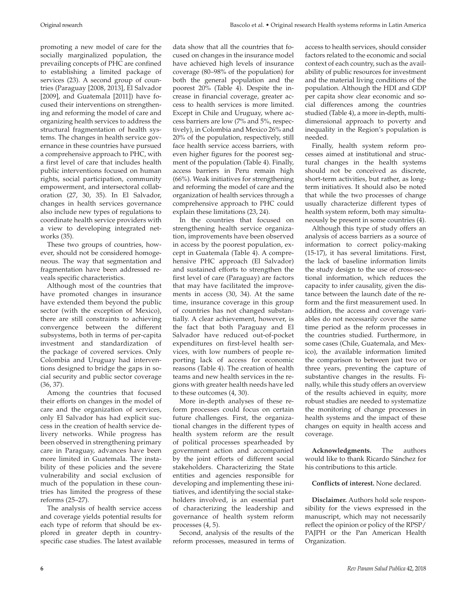promoting a new model of care for the socially marginalized population, the prevailing concepts of PHC are confined to establishing a limited package of services (23). A second group of countries (Paraguay [2008, 2013], El Salvador [2009], and Guatemala [2011]) have focused their interventions on strengthening and reforming the model of care and organizing health services to address the structural fragmentation of health systems. The changes in health service governance in these countries have pursued a comprehensive approach to PHC, with a first level of care that includes health public interventions focused on human rights, social participation, community empowerment, and intersectoral collaboration (27, 30, 35). In El Salvador, changes in health services governance also include new types of regulations to coordinate health service providers with a view to developing integrated networks (35).

These two groups of countries, however, should not be considered homogeneous. The way that segmentation and fragmentation have been addressed reveals specific characteristics.

Although most of the countries that have promoted changes in insurance have extended them beyond the public sector (with the exception of Mexico), there are still constraints to achieving convergence between the different subsystems, both in terms of per-capita investment and standardization of the package of covered services. Only Colombia and Uruguay had interventions designed to bridge the gaps in social security and public sector coverage (36, 37).

Among the countries that focused their efforts on changes in the model of care and the organization of services, only El Salvador has had explicit success in the creation of health service delivery networks. While progress has been observed in strengthening primary care in Paraguay, advances have been more limited in Guatemala. The instability of these policies and the severe vulnerability and social exclusion of much of the population in these countries has limited the progress of these reforms (25–27).

The analysis of health service access and coverage yields potential results for each type of reform that should be explored in greater depth in countryspecific case studies. The latest available

data show that all the countries that focused on changes in the insurance model have achieved high levels of insurance coverage (80–98% of the population) for both the general population and the poorest 20% (Table 4). Despite the increase in financial coverage, greater access to health services is more limited. Except in Chile and Uruguay, where access barriers are low (7% and 5%, respectively), in Colombia and Mexico 26% and 20% of the population, respectively, still face health service access barriers, with even higher figures for the poorest segment of the population (Table 4). Finally, access barriers in Peru remain high (66%). Weak initiatives for strengthening and reforming the model of care and the organization of health services through a comprehensive approach to PHC could explain these limitations (23, 24).

In the countries that focused on strengthening health service organization, improvements have been observed in access by the poorest population, except in Guatemala (Table 4). A comprehensive PHC approach (El Salvador) and sustained efforts to strengthen the first level of care (Paraguay) are factors that may have facilitated the improvements in access (30, 34). At the same time, insurance coverage in this group of countries has not changed substantially. A clear achievement, however, is the fact that both Paraguay and El Salvador have reduced out-of-pocket expenditures on first-level health services, with low numbers of people reporting lack of access for economic reasons (Table 4). The creation of health teams and new health services in the regions with greater health needs have led to these outcomes (4, 30).

More in-depth analyses of these reform processes could focus on certain future challenges. First, the organizational changes in the different types of health system reform are the result of political processes spearheaded by government action and accompanied by the joint efforts of different social stakeholders. Characterizing the State entities and agencies responsible for developing and implementing these initiatives, and identifying the social stakeholders involved, is an essential part of characterizing the leadership and governance of health system reform processes (4, 5).

Second, analysis of the results of the reform processes, measured in terms of access to health services, should consider factors related to the economic and social context of each country, such as the availability of public resources for investment and the material living conditions of the population. Although the HDI and GDP per capita show clear economic and social differences among the countries studied (Table 4), a more in-depth, multidimensional approach to poverty and inequality in the Region's population is needed.

Finally, health system reform processes aimed at institutional and structural changes in the health systems should not be conceived as discrete, short-term activities, but rather, as longterm initiatives. It should also be noted that while the two processes of change usually characterize different types of health system reform, both may simultaneously be present in some countries (4).

Although this type of study offers an analysis of access barriers as a source of information to correct policy-making (15-17), it has several limitations. First, the lack of baseline information limits the study design to the use of cross-sectional information, which reduces the capacity to infer causality, given the distance between the launch date of the reform and the first measurement used. In addition, the access and coverage variables do not necessarily cover the same time period as the reform processes in the countries studied. Furthermore, in some cases (Chile, Guatemala, and Mexico), the available information limited the comparison to between just two or three years, preventing the capture of substantive changes in the results. Finally, while this study offers an overview of the results achieved in equity, more robust studies are needed to systematize the monitoring of change processes in health systems and the impact of these changes on equity in health access and coverage.

**Acknowledgments.** The authors would like to thank Ricardo Sánchez for his contributions to this article.

**Conflicts of interest.** None declared.

**Disclaimer.** Authors hold sole responsibility for the views expressed in the manuscript, which may not necessarily reflect the opinion or policy of the RPSP/ PAJPH or the Pan American Health Organization.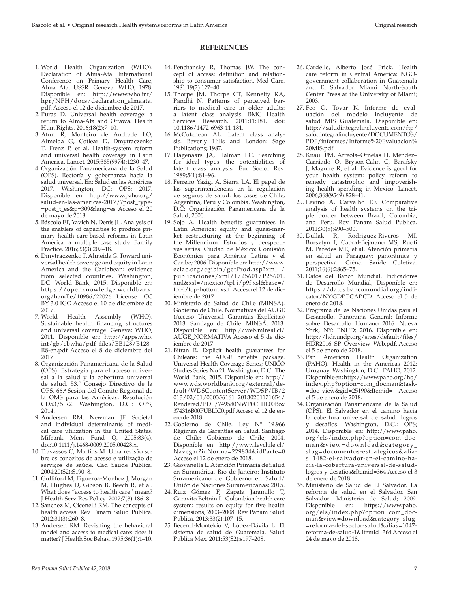#### **REFERENCES**

- 1. World Health Organization (WHO). Declaration of Alma-Ata. International Conference on Primary Health Care, Alma Ata, USSR. Geneva: WHO; 1978. Disponible en: [http://www.who.int/](http://www.who.int/hpr/NPH/docs/declaration_almaata.pdf) [hpr/NPH/docs/declaration\\_almaata.](http://www.who.int/hpr/NPH/docs/declaration_almaata.pdf) [pdf](http://www.who.int/hpr/NPH/docs/declaration_almaata.pdf). Acceso el 12 de diciembre de 2017.
- 2. Puras D. Universal health coverage: a return to Alma-Ata and Ottawa. Health Hum Rights. 2016;18(2):7–10.
- 3. Atun R, Monteiro de Andrade LO, Almeida G, Cotlear D, Dmytraczenko T, Frenz P, et al. Health-system reform and universal health coverage in Latin America. Lancet. 2015;385(9974):1230–47.
- 4. Organización Panamericana de la Salud (OPS). Rectoría y gobernanza hacia la salud universal. En: Salud en las Américas 2017. Washington, DC: OPS; 2017. Disponible en: [http://www.paho.org/](http://www.paho.org/salud-en-las-americas-2017/?post_type=post_t_es&p=309&lang=es) [salud-en-las-americas-2017/?post\\_type-](http://www.paho.org/salud-en-las-americas-2017/?post_type=post_t_es&p=309&lang=es) [=post\\_t\\_es&p=309&lang=es](http://www.paho.org/salud-en-las-americas-2017/?post_type=post_t_es&p=309&lang=es) Acceso el 20 de mayo de 2018.
- 5. Báscolo EP, Yavich N, Denis JL. Analysis of the enablers of capacities to produce primary health care-based reforms in Latin America: a multiple case study. Family Practice. 2016;33(3):207–18.
- 6. Dmytraczenko T, Almeida G. Toward universal health coverage and equity in Latin America and the Caribbean: evidence from selected countries. Washington, DC: World Bank; 2015. Disponible en: [https://openknowledge.worldbank.](https://openknowledge.worldbank.org/handle/10986/22026) [org/handle/10986/22026](https://openknowledge.worldbank.org/handle/10986/22026) License: CC BY 3.0 IGO Acceso el 10 de diciembre de
- 2017.<br>7. World Health Assembly (WHO). Sustainable health financing structures and universal coverage. Geneva: WHO, 2011. Disponible en: [http://apps.who.](http://apps.who.int/gb/ebwha/pdf_files/EB128/B128_R8-en.pdf) [int/gb/ebwha/pdf\\_files/EB128/B128\\_](http://apps.who.int/gb/ebwha/pdf_files/EB128/B128_R8-en.pdf) [R8-en.pdf](http://apps.who.int/gb/ebwha/pdf_files/EB128/B128_R8-en.pdf) Acceso el 8 de diciembre del 2017.
- 8. Organización Panamericana de la Salud (OPS). Estrategia para el acceso universal a la salud y la cobertura universal de salud. 53.° Consejo Directivo de la OPS, 66.<sup>a</sup> Sesión del Comité Regional de la OMS para las Américas. Resolución CD53/5.R2. Washington, D.C.: OPS; 2014.
- 9. Andersen RM, Newman JF. Societal and individual determinants of medical care utilization in the United States. Milbank Mem Fund Q. 2005;83(4). doi:10.1111/j.1468-0009.2005.00428.x.
- 10. Travassos C, Martins M. Uma revisão sobre os conceitos de acesso e utilização de serviços de saúde. Cad Saude Publica. 2004;20(S2):S190–8.
- 11. Gulliford M, Figueroa-Monhoz J, Morgan M, Hughes D, Gibson B, Beech R, et al. What does "access to health care" mean? J Health Serv Res Policy. 2002;7(3):186–8.
- 12. Sanchez M, Ciconelli RM. The concepts of health access. Rev Panam Salud Publica. 2012;31(3):260–8.
- 13. Andersen RM. Revisiting the behavioral model and access to medical care: does it matter? J Health Soc Behav. 1995;36(1):1–10.
- 14. Penchansky R, Thomas JW. The concept of access: definition and relationship to consumer satisfaction. Med Care. 1981;19(2):127–40.
- 15. Thorpe JM, Thorpe CT, Kennelty KA, Pandhi N. Patterns of perceived barriers to medical care in older adults: a latent class analysis. BMC Health Services Research. 2011;11:181. doi: 10.1186/1472-6963-11-181.
- 16. McCutcheon AL. Latent class analysis. Beverly Hills and London: Sage Publications; 1987.
- 17. Hagenaars JA, Halman LC. Searching for ideal types: the potentialities of latent class analysis. Eur Sociol Rev. 1989;5(1):81–96.
- 18. Ferreiro Yazigi A, Sierra LA. El papel de las superintendencias en la regulación de seguros de salud: los casos de Chile, Argentina, Perú y Colombia. Washington, D.C: Organización Panamericana de la Salud; 2000.
- 19. Sojo A. Health benefits guarantees in Latin America: equity and quasi-market restructuring at the beginning of the Millennium. Estudios y perspectivas series. Ciudad de México: Comisión Económica para América Latina y el Caribe; 2006. Disponible en: [http://www.](http://www.eclac.org/cgibin/getProd.asp?xml=/publicaciones/xml/1/25601/P25601.xml&xsl=/mexico/tpl-i/p9f.xsl&base=/tpl-i/top-bottom.xslt) [eclac.org/cgibin/getProd.asp?xml=/](http://www.eclac.org/cgibin/getProd.asp?xml=/publicaciones/xml/1/25601/P25601.xml&xsl=/mexico/tpl-i/p9f.xsl&base=/tpl-i/top-bottom.xslt) [publicaciones/xml/1/25601/P25601.](http://www.eclac.org/cgibin/getProd.asp?xml=/publicaciones/xml/1/25601/P25601.xml&xsl=/mexico/tpl-i/p9f.xsl&base=/tpl-i/top-bottom.xslt) [xml&xsl=/mexico/tpl-i/p9f.xsl&base=/](http://www.eclac.org/cgibin/getProd.asp?xml=/publicaciones/xml/1/25601/P25601.xml&xsl=/mexico/tpl-i/p9f.xsl&base=/tpl-i/top-bottom.xslt) [tpl-i/top-bottom.xslt.](http://www.eclac.org/cgibin/getProd.asp?xml=/publicaciones/xml/1/25601/P25601.xml&xsl=/mexico/tpl-i/p9f.xsl&base=/tpl-i/top-bottom.xslt) Acceso el 12 de diciembre de 2017.
- 20. Ministerio de Salud de Chile (MINSA). Gobierno de Chile. Normativas del AUGE (Acceso Universal Garantías Explícitas) 2013. Santiago de Chile: MINSA; 2013. Disponible en: [http://web.minsal.cl/](http://web.minsal.cl/AUGE_NORMATIVA) [AUGE\\_NORMATIVA](http://web.minsal.cl/AUGE_NORMATIVA) Acceso el 5 de diciembre de 2017.
- 21. Bitran R. Explicit health guarantees for Chileans: the AUGE benefits package. Universal Health Coverage Series; UNICO Studies Series No 21. Washington, D.C.: The World Bank*,* 2015. Disponible en: [http://](http://wwwwds.worldbank.org/external/default/WDSContentServer/WDSP/IB/2013/02/01/000356161_20130201171654/Rendered/PDF/749580NWP0CHIL00Box374316B00PUBLIC0.pdf) [wwwwds.worldbank.org/external/de](http://wwwwds.worldbank.org/external/default/WDSContentServer/WDSP/IB/2013/02/01/000356161_20130201171654/Rendered/PDF/749580NWP0CHIL00Box374316B00PUBLIC0.pdf)[fault/WDSContentServer/WDSP/IB/2](http://wwwwds.worldbank.org/external/default/WDSContentServer/WDSP/IB/2013/02/01/000356161_20130201171654/Rendered/PDF/749580NWP0CHIL00Box374316B00PUBLIC0.pdf) [013/02/01/000356161\\_20130201171654/](http://wwwwds.worldbank.org/external/default/WDSContentServer/WDSP/IB/2013/02/01/000356161_20130201171654/Rendered/PDF/749580NWP0CHIL00Box374316B00PUBLIC0.pdf) [Rendered/PDF/749580NWP0CHIL00Box](http://wwwwds.worldbank.org/external/default/WDSContentServer/WDSP/IB/2013/02/01/000356161_20130201171654/Rendered/PDF/749580NWP0CHIL00Box374316B00PUBLIC0.pdf) [374316B00PUBLIC0.pdf](http://wwwwds.worldbank.org/external/default/WDSContentServer/WDSP/IB/2013/02/01/000356161_20130201171654/Rendered/PDF/749580NWP0CHIL00Box374316B00PUBLIC0.pdf) Acceso el 12 de enero de 2018.
- 22. Gobierno de Chile. Ley N° 19.966 Régimen de Garantías en Salud. Santiago de Chile: Gobierno de Chile; 2004. Disponible en: [http://www.leychile.cl/](http://www.leychile.cl/Navegar?idNorma=229834&idParte=0) [Navegar?idNorma=229834&idParte=0](http://www.leychile.cl/Navegar?idNorma=229834&idParte=0) Acceso el 12 de enero de 2018.
- 23. Giovanella L. Atención Primaria de Salud en Suramérica. Río de Janeiro: Instituto Suramericano de Gobierno en Salud/ Unión de Naciones Suramericanas; 2015.
- 24. Ruiz Gómez F, Zapata Jaramillo T, Garavito Beltrán L. Colombian health care system: results on equity for five health dimensions, 2003–2008. Rev Panam Salud Publica. 2013;33(2):107–15.
- 25. Becerril-Montekio V, López-Dávila L. El sistema de salud de Guatemala. Salud Publica Mex. 2011;53(S2):s197–208.
- 26. Cardelle, Alberto José Frick. Health care reform in Central America: NGOgovernment collaboration in Guatemala and El Salvador. Miami: North-South Center Press at the University of Miami; 2003.
- 27. Feo O, Tovar K. Informe de evaluación del modelo incluyente de salud MIS Guatemala. Disponible en: [http://saludintegralincluyente.com/ftp/](http://saludintegralincluyente.com/ftp/saludintegralincluyente/DOCUMENTOS/PDF/informes/Informe%20Evaluacion%20MIS.pdf) [saludintegralincluyente/DOCUMENTOS/](http://saludintegralincluyente.com/ftp/saludintegralincluyente/DOCUMENTOS/PDF/informes/Informe%20Evaluacion%20MIS.pdf) [PDF/informes/Informe%20Evaluacion%](http://saludintegralincluyente.com/ftp/saludintegralincluyente/DOCUMENTOS/PDF/informes/Informe%20Evaluacion%20MIS.pdf) [20MIS.pdf](http://saludintegralincluyente.com/ftp/saludintegralincluyente/DOCUMENTOS/PDF/informes/Informe%20Evaluacion%20MIS.pdf)
- 28. Knaul FM, Arreola–Ornelas H, Méndez– Carniado O, Bryson-Cahn C, Barafsky J, Maguire R, et al. Evidence is good for your health system: policy reform to remedy catastrophic and impoverishing health spending in Mexico. Lancet. 2006;368(9549):828–41.
- 29. Levino A, Carvalho EF. Comparative analysis of health systems on the triple border between Brazil, Colombia, and Peru. Rev Panam Salud Publica. 2011;30(5):490–500.
- 30. Dullak R, Rodriguez-Riveros MI, Bursztyn I, Cabral-Bejarano MS, Ruoti M, Paredes ME, et al. Atención primaria en salud en Paraguay: panorámica y perspectiva. Ciênc. Saúde Coletiva. 2011;16(6):2865–75.
- 31. Datos del Banco Mundial. Indicadores de Desarrollo Mundial, Disponible en: [https://datos.bancomundial.org/indi](https://datos.bancomundial.org/indicator/NY.GDP.PCAP.CD)[cator/NY.GDP.PCAP.CD](https://datos.bancomundial.org/indicator/NY.GDP.PCAP.CD). Acceso el 5 de enero de 2018.
- 32. Programa de las Naciones Unidas para el Desarrollo. Panorama General: Informe sobre Desarrollo Humano 2016. Nueva York, NY: PNUD; 2016. Disponible en: [http://hdr.undp.org/sites/default/files/](http://hdr.undp.org/sites/default/files/HDR2016_SP_Overview_Web.pdf) [HDR2016\\_SP\\_Overview\\_Web.pdf](http://hdr.undp.org/sites/default/files/HDR2016_SP_Overview_Web.pdf). Acceso el 5 de enero de 2018.
- 33. Pan American Health Organization (PAHO). Health in the Americas 2012: Uruguay. Washington, D.C.: PAHO; 2012. Disponible en: [http://www.paho.org/hq/](http://www.paho.org/hq/index.php?option=com_docman&task=doc_view&gid=25190&Itemid=) [index.php?option=com\\_docman&task-](http://www.paho.org/hq/index.php?option=com_docman&task=doc_view&gid=25190&Itemid=) [=doc\\_view&gid=25190&Itemid=](http://www.paho.org/hq/index.php?option=com_docman&task=doc_view&gid=25190&Itemid=) Acceso el 5 de enero de 2018.
- 34. Organización Panamericana de la Salud (OPS). El Salvador en el camino hacia la cobertura universal de salud: logros y desafíos. Washington, D.C.: OPS; 2014. Disponible en: [http://www.paho.](http://www.paho.org/els/index.php?option=com_docman&view=download&category_slug=documentos-estrategicos&alias=1482-el-salvador-en-el-camino-hacia-la-cobertura-universal-de-salud-logros-y-desafios&Itemid=364) [org/els/index.php?option=com\\_doc](http://www.paho.org/els/index.php?option=com_docman&view=download&category_slug=documentos-estrategicos&alias=1482-el-salvador-en-el-camino-hacia-la-cobertura-universal-de-salud-logros-y-desafios&Itemid=364)[man&view=download&category\\_](http://www.paho.org/els/index.php?option=com_docman&view=download&category_slug=documentos-estrategicos&alias=1482-el-salvador-en-el-camino-hacia-la-cobertura-universal-de-salud-logros-y-desafios&Itemid=364) [slug=documentos-estrategicos&alia](http://www.paho.org/els/index.php?option=com_docman&view=download&category_slug=documentos-estrategicos&alias=1482-el-salvador-en-el-camino-hacia-la-cobertura-universal-de-salud-logros-y-desafios&Itemid=364)[s=1482-el-salvador-en-el-camino-ha](http://www.paho.org/els/index.php?option=com_docman&view=download&category_slug=documentos-estrategicos&alias=1482-el-salvador-en-el-camino-hacia-la-cobertura-universal-de-salud-logros-y-desafios&Itemid=364)[cia-la-cobertura-universal-de-salud](http://www.paho.org/els/index.php?option=com_docman&view=download&category_slug=documentos-estrategicos&alias=1482-el-salvador-en-el-camino-hacia-la-cobertura-universal-de-salud-logros-y-desafios&Itemid=364)[logros-y-desafios&Itemid=364](http://www.paho.org/els/index.php?option=com_docman&view=download&category_slug=documentos-estrategicos&alias=1482-el-salvador-en-el-camino-hacia-la-cobertura-universal-de-salud-logros-y-desafios&Itemid=364) Acceso el 3 de enero de 2018.
- 35. Ministerio de Salud de El Salvador. La reforma de salud en el Salvador. San Salvador: Ministerio de Salud; 2009. Disponible en: [https://www.paho.](https://www.paho.org/els/index.php?option=com_docman&view=download&category_slug=reforma-del-sector-salud&alias=1047-reforma-de-salud-1&Itemid=364) [org/els/index.php?option=com\\_doc](https://www.paho.org/els/index.php?option=com_docman&view=download&category_slug=reforma-del-sector-salud&alias=1047-reforma-de-salud-1&Itemid=364)[man&view=download&category\\_slug-](https://www.paho.org/els/index.php?option=com_docman&view=download&category_slug=reforma-del-sector-salud&alias=1047-reforma-de-salud-1&Itemid=364) [=reforma-del-sector-salud&alias=1047](https://www.paho.org/els/index.php?option=com_docman&view=download&category_slug=reforma-del-sector-salud&alias=1047-reforma-de-salud-1&Itemid=364) [reforma-de-salud-1&Itemid=364](https://www.paho.org/els/index.php?option=com_docman&view=download&category_slug=reforma-del-sector-salud&alias=1047-reforma-de-salud-1&Itemid=364) Acceso el 24 de mayo de 2018.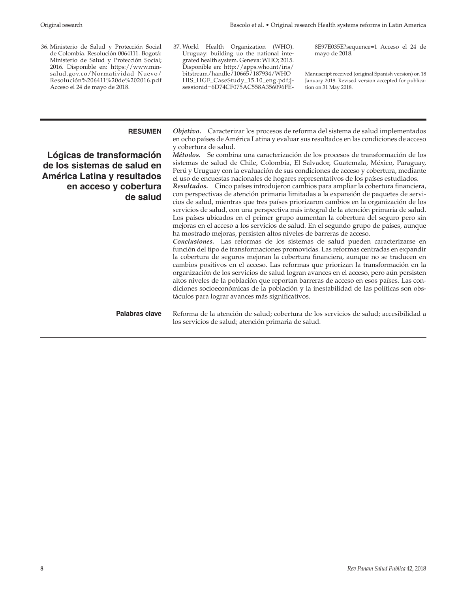36. Ministerio de Salud y Protección Social de Colombia. Resolución 0064111. Bogotá: Ministerio de Salud y Protección Social; 2016. Disponible en: [https://www.min](https://www.minsalud.gov.co/Normatividad_Nuevo/Resoluci�n%206411%20de%202016.pdf)[salud.gov.co/Normatividad\\_Nuevo/](https://www.minsalud.gov.co/Normatividad_Nuevo/Resoluci�n%206411%20de%202016.pdf) [Resolución%206411%20de%202016.pdf](https://www.minsalud.gov.co/Normatividad_Nuevo/Resoluci�n%206411%20de%202016.pdf) Acceso el 24 de mayo de 2018.

37. World Health Organization (WHO). Uruguay: building uo the national integrated health system. Geneva: WHO; 2015. Disponible en: [http://apps.who.int/iris/](http://apps.who.int/iris/bitstream/handle/10665/187934/WHO_HIS_HGF_CaseStudy_15.10_eng.pdf;jsessionid=6D74CF075AC558A356096FE8E97E035E?sequence=1) [bitstream/handle/10665/187934/WHO\\_](http://apps.who.int/iris/bitstream/handle/10665/187934/WHO_HIS_HGF_CaseStudy_15.10_eng.pdf;jsessionid=6D74CF075AC558A356096FE8E97E035E?sequence=1) [HIS\\_HGF\\_CaseStudy\\_15.10\\_eng.pdf;j](http://apps.who.int/iris/bitstream/handle/10665/187934/WHO_HIS_HGF_CaseStudy_15.10_eng.pdf;jsessionid=6D74CF075AC558A356096FE8E97E035E?sequence=1)[sessionid=6D74CF075AC558A356096FE-](http://apps.who.int/iris/bitstream/handle/10665/187934/WHO_HIS_HGF_CaseStudy_15.10_eng.pdf;jsessionid=6D74CF075AC558A356096FE8E97E035E?sequence=1) [8E97E035E?sequence=1](http://apps.who.int/iris/bitstream/handle/10665/187934/WHO_HIS_HGF_CaseStudy_15.10_eng.pdf;jsessionid=6D74CF075AC558A356096FE8E97E035E?sequence=1) Acceso el 24 de mayo de 2018.

Manuscript received (original Spanish version) on 18 January 2018. Revised version accepted for publication on 31 May 2018.

# **Lógicas de transformación de los sistemas de salud en América Latina y resultados en acceso y cobertura de salud**

**RESUMEN** *Objetivo.* Caracterizar los procesos de reforma del sistema de salud implementados en ocho países de América Latina y evaluar sus resultados en las condiciones de acceso y cobertura de salud.

*Métodos.* Se combina una caracterización de los procesos de transformación de los sistemas de salud de Chile, Colombia, El Salvador, Guatemala, México, Paraguay, Perú y Uruguay con la evaluación de sus condiciones de acceso y cobertura, mediante el uso de encuestas nacionales de hogares representativos de los países estudiados.

*Resultados.* Cinco países introdujeron cambios para ampliar la cobertura financiera, con perspectivas de atención primaria limitadas a la expansión de paquetes de servicios de salud, mientras que tres países priorizaron cambios en la organización de los servicios de salud, con una perspectiva más integral de la atención primaria de salud. Los países ubicados en el primer grupo aumentan la cobertura del seguro pero sin mejoras en el acceso a los servicios de salud. En el segundo grupo de países, aunque ha mostrado mejoras, persisten altos niveles de barreras de acceso.

*Conclusiones.* Las reformas de los sistemas de salud pueden caracterizarse en función del tipo de transformaciones promovidas. Las reformas centradas en expandir la cobertura de seguros mejoran la cobertura financiera, aunque no se traducen en cambios positivos en el acceso. Las reformas que priorizan la transformación en la organización de los servicios de salud logran avances en el acceso, pero aún persisten altos niveles de la población que reportan barreras de acceso en esos países. Las condiciones socioeconómicas de la población y la inestabilidad de las políticas son obstáculos para lograr avances más significativos.

**Palabras clave** Reforma de la atención de salud; cobertura de los servicios de salud; accesibilidad a los servicios de salud; atención primaria de salud.